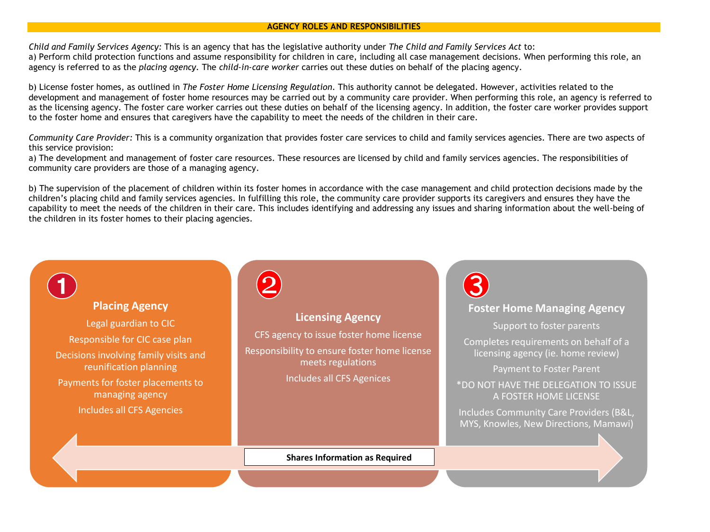## **AGENCY ROLES AND RESPONSIBILITIES**

*Child and Family Services Agency:* This is an agency that has the legislative authority under *The Child and Family Services Act* to: a) Perform child protection functions and assume responsibility for children in care, including all case management decisions. When performing this role, an agency is referred to as the *placing agency.* The *child-in-care worker* carries out these duties on behalf of the placing agency.

b) License foster homes, as outlined in *The Foster Home Licensing Regulation*. This authority cannot be delegated. However, activities related to the development and management of foster home resources may be carried out by a community care provider. When performing this role, an agency is referred to as the licensing agency*.* The foster care worker carries out these duties on behalf of the licensing agency. In addition, the foster care worker provides support to the foster home and ensures that caregivers have the capability to meet the needs of the children in their care.

*Community Care Provider:* This is a community organization that provides foster care services to child and family services agencies. There are two aspects of this service provision:

a) The development and management of foster care resources. These resources are licensed by child and family services agencies. The responsibilities of community care providers are those of a managing agency.

b) The supervision of the placement of children within its foster homes in accordance with the case management and child protection decisions made by the children's placing child and family services agencies. In fulfilling this role, the community care provider supports its caregivers and ensures they have the capability to meet the needs of the children in their care. This includes identifying and addressing any issues and sharing information about the well-being of the children in its foster homes to their placing agencies.